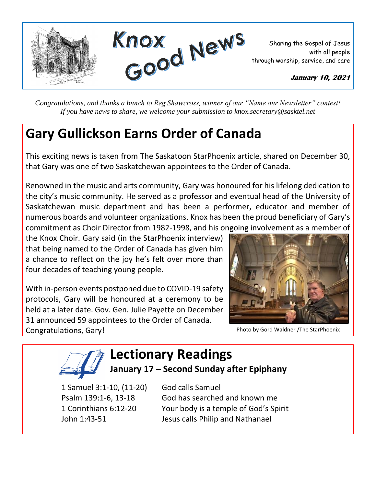

*Congratulations, and thanks a bunch to Reg Shawcross, winner of our "Name our Newsletter" contest! If you have news to share, we welcome your submission to knox.secretary@sasktel.net*

## **Gary Gullickson Earns Order of Canada**

This exciting news is taken from The Saskatoon StarPhoenix article, shared on December 30, that Gary was one of two Saskatchewan appointees to the Order of Canada.

Renowned in the music and arts community, Gary was honoured for his lifelong dedication to the city's music community. He served as a professor and eventual head of the University of Saskatchewan music department and has been a performer, educator and member of numerous boards and volunteer organizations. Knox has been the proud beneficiary of Gary's commitment as Choir Director from 1982-1998, and his ongoing involvement as a member of

the Knox Choir. Gary said (in the StarPhoenix interview) that being named to the Order of Canada has given him a chance to reflect on the joy he's felt over more than four decades of teaching young people.

With in-person events postponed due to COVID-19 safety protocols, Gary will be honoured at a ceremony to be held at a later date. Gov. Gen. Julie Payette on December 31 announced 59 appointees to the Order of Canada. Congratulations, Gary!



Photo by Gord Waldner /The StarPhoenix

## **Lectionary Readings**

## **January 17 – Second Sunday after Epiphany**

1 Samuel 3:1-10, (11-20) God calls Samuel

Psalm 139:1-6, 13-18 God has searched and known me 1 Corinthians 6:12-20 Your body is a temple of God's Spirit John 1:43-51 Jesus calls Philip and Nathanael